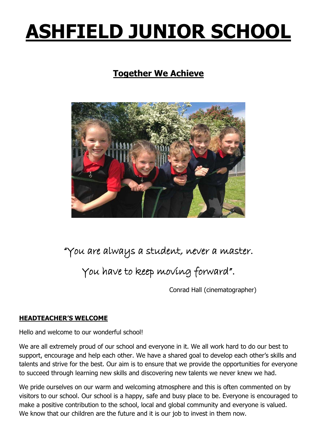# **ASHFIELD JUNIOR SCHOOL**

# **Together We Achieve**



# "You are always a student, never a master.

# You have to keep moving forward".

Conrad Hall (cinematographer)

# **HEADTEACHER'S WELCOME**

Hello and welcome to our wonderful school!

We are all extremely proud of our school and everyone in it. We all work hard to do our best to support, encourage and help each other. We have a shared goal to develop each other's skills and talents and strive for the best. Our aim is to ensure that we provide the opportunities for everyone to succeed through learning new skills and discovering new talents we never knew we had.

We pride ourselves on our warm and welcoming atmosphere and this is often commented on by visitors to our school. Our school is a happy, safe and busy place to be. Everyone is encouraged to make a positive contribution to the school, local and global community and everyone is valued. We know that our children are the future and it is our job to invest in them now.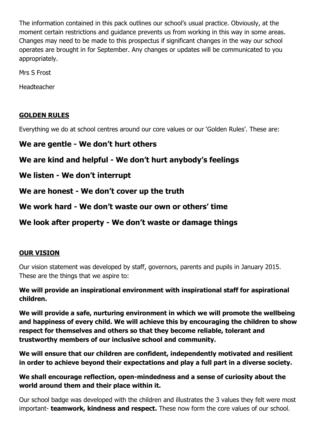The information contained in this pack outlines our school's usual practice. Obviously, at the moment certain restrictions and guidance prevents us from working in this way in some areas. Changes may need to be made to this prospectus if significant changes in the way our school operates are brought in for September. Any changes or updates will be communicated to you appropriately.

Mrs S Frost

Headteacher

# **GOLDEN RULES**

Everything we do at school centres around our core values or our 'Golden Rules'. These are:

# **We are gentle - We don't hurt others**

# **We are kind and helpful - We don't hurt anybody's feelings**

**We listen - We don't interrupt**

**We are honest - We don't cover up the truth**

**We work hard - We don't waste our own or others' time**

**We look after property - We don't waste or damage things**

#### **OUR VISION**

Our vision statement was developed by staff, governors, parents and pupils in January 2015. These are the things that we aspire to:

**We will provide an inspirational environment with inspirational staff for aspirational children.**

**We will provide a safe, nurturing environment in which we will promote the wellbeing and happiness of every child. We will achieve this by encouraging the children to show respect for themselves and others so that they become reliable, tolerant and trustworthy members of our inclusive school and community.**

**We will ensure that our children are confident, independently motivated and resilient in order to achieve beyond their expectations and play a full part in a diverse society.**

# **We shall encourage reflection, open-mindedness and a sense of curiosity about the world around them and their place within it.**

Our school badge was developed with the children and illustrates the 3 values they felt were most important- **teamwork, kindness and respect.** These now form the core values of our school.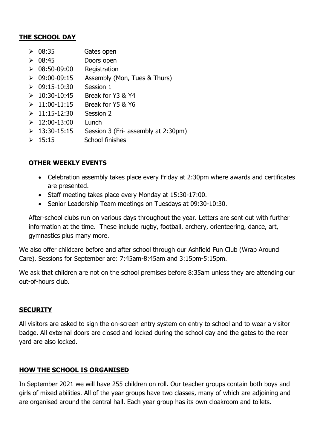#### **THE SCHOOL DAY**

- ➢ 08:35 Gates open
- ➢ 08:45 Doors open
- $\geq 08:50-09:00$  Registration
- $\geq 09:00-09:15$  Assembly (Mon, Tues & Thurs)
- ➢ 09:15-10:30 Session 1
- $> 10:30-10:45$  Break for Y3 & Y4
- $> 11:00-11:15$  Break for Y5 & Y6
- $> 11:15-12:30$  Session 2
- $> 12:00-13:00$  Lunch
- $\geq 13:30-15:15$  Session 3 (Fri- assembly at 2:30pm)
- $\geq 15:15$  School finishes

# **OTHER WEEKLY EVENTS**

- Celebration assembly takes place every Friday at 2:30pm where awards and certificates are presented.
- Staff meeting takes place every Monday at 15:30-17:00.
- Senior Leadership Team meetings on Tuesdays at 09:30-10:30.

After-school clubs run on various days throughout the year. Letters are sent out with further information at the time. These include rugby, football, archery, orienteering, dance, art, gymnastics plus many more.

We also offer childcare before and after school through our Ashfield Fun Club (Wrap Around Care). Sessions for September are: 7:45am-8:45am and 3:15pm-5:15pm.

We ask that children are not on the school premises before 8:35am unless they are attending our out-of-hours club.

## **SECURITY**

All visitors are asked to sign the on-screen entry system on entry to school and to wear a visitor badge. All external doors are closed and locked during the school day and the gates to the rear yard are also locked.

## **HOW THE SCHOOL IS ORGANISED**

In September 2021 we will have 255 children on roll. Our teacher groups contain both boys and girls of mixed abilities. All of the year groups have two classes, many of which are adjoining and are organised around the central hall. Each year group has its own cloakroom and toilets.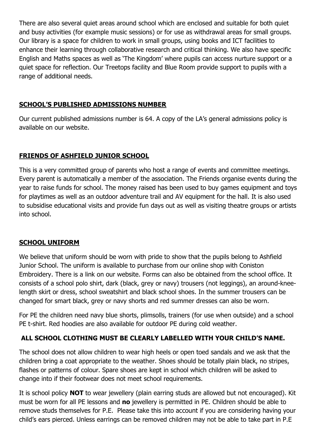There are also several quiet areas around school which are enclosed and suitable for both quiet and busy activities (for example music sessions) or for use as withdrawal areas for small groups. Our library is a space for children to work in small groups, using books and ICT facilities to enhance their learning through collaborative research and critical thinking. We also have specific English and Maths spaces as well as 'The Kingdom' where pupils can access nurture support or a quiet space for reflection. Our Treetops facility and Blue Room provide support to pupils with a range of additional needs.

## **SCHOOL'S PUBLISHED ADMISSIONS NUMBER**

Our current published admissions number is 64. A copy of the LA's general admissions policy is available on our website.

# **FRIENDS OF ASHFIELD JUNIOR SCHOOL**

This is a very committed group of parents who host a range of events and committee meetings. Every parent is automatically a member of the association. The Friends organise events during the year to raise funds for school. The money raised has been used to buy games equipment and toys for playtimes as well as an outdoor adventure trail and AV equipment for the hall. It is also used to subsidise educational visits and provide fun days out as well as visiting theatre groups or artists into school.

## **SCHOOL UNIFORM**

We believe that uniform should be worn with pride to show that the pupils belong to Ashfield Junior School. The uniform is available to purchase from our online shop with Coniston Embroidery. There is a link on our website. Forms can also be obtained from the school office. It consists of a school polo shirt, dark (black, grey or navy) trousers (not leggings), an around-kneelength skirt or dress, school sweatshirt and black school shoes. In the summer trousers can be changed for smart black, grey or navy shorts and red summer dresses can also be worn.

For PE the children need navy blue shorts, plimsolls, trainers (for use when outside) and a school PE t-shirt. Red hoodies are also available for outdoor PE during cold weather.

# **ALL SCHOOL CLOTHING MUST BE CLEARLY LABELLED WITH YOUR CHILD'S NAME.**

The school does not allow children to wear high heels or open toed sandals and we ask that the children bring a coat appropriate to the weather. Shoes should be totally plain black, no stripes, flashes or patterns of colour. Spare shoes are kept in school which children will be asked to change into if their footwear does not meet school requirements.

It is school policy **NOT** to wear jewellery (plain earring studs are allowed but not encouraged). Kit must be worn for all PE lessons and **no** jewellery is permitted in PE. Children should be able to remove studs themselves for P.E. Please take this into account if you are considering having your child's ears pierced. Unless earrings can be removed children may not be able to take part in P.E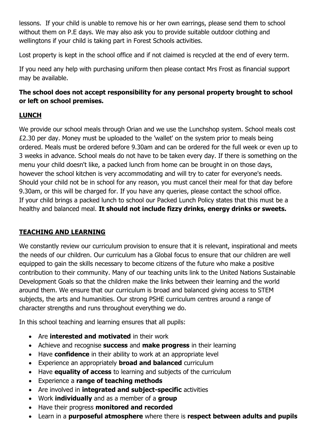lessons. If your child is unable to remove his or her own earrings, please send them to school without them on P.E days. We may also ask you to provide suitable outdoor clothing and wellingtons if your child is taking part in Forest Schools activities.

Lost property is kept in the school office and if not claimed is recycled at the end of every term.

If you need any help with purchasing uniform then please contact Mrs Frost as financial support may be available.

# **The school does not accept responsibility for any personal property brought to school or left on school premises.**

# **LUNCH**

We provide our school meals through Orian and we use the Lunchshop system. School meals cost £2.30 per day. Money must be uploaded to the 'wallet' on the system prior to meals being ordered. Meals must be ordered before 9.30am and can be ordered for the full week or even up to 3 weeks in advance. School meals do not have to be taken every day. If there is something on the menu your child doesn't like, a packed lunch from home can be brought in on those days, however the school kitchen is very accommodating and will try to cater for everyone's needs. Should your child not be in school for any reason, you must cancel their meal for that day before 9.30am, or this will be charged for. If you have any queries, please contact the school office. If your child brings a packed lunch to school our Packed Lunch Policy states that this must be a healthy and balanced meal. **It should not include fizzy drinks, energy drinks or sweets.**

# **TEACHING AND LEARNING**

We constantly review our curriculum provision to ensure that it is relevant, inspirational and meets the needs of our children. Our curriculum has a Global focus to ensure that our children are well equipped to gain the skills necessary to become citizens of the future who make a positive contribution to their community. Many of our teaching units link to the United Nations Sustainable Development Goals so that the children make the links between their learning and the world around them. We ensure that our curriculum is broad and balanced giving access to STEM subjects, the arts and humanities. Our strong PSHE curriculum centres around a range of character strengths and runs throughout everything we do.

In this school teaching and learning ensures that all pupils:

- Are **interested and motivated** in their work
- Achieve and recognise **success** and **make progress** in their learning
- Have **confidence** in their ability to work at an appropriate level
- Experience an appropriately **broad and balanced** curriculum
- Have **equality of access** to learning and subjects of the curriculum
- Experience a **range of teaching methods**
- Are involved in **integrated and subject-specific** activities
- Work **individually** and as a member of a **group**
- Have their progress **monitored and recorded**
- Learn in a **purposeful atmosphere** where there is **respect between adults and pupils**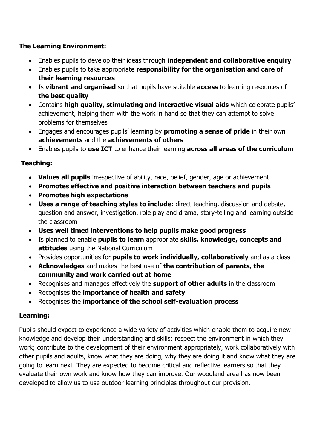# **The Learning Environment:**

- Enables pupils to develop their ideas through **independent and collaborative enquiry**
- Enables pupils to take appropriate **responsibility for the organisation and care of their learning resources**
- Is **vibrant and organised** so that pupils have suitable **access** to learning resources of **the best quality**
- Contains **high quality, stimulating and interactive visual aids** which celebrate pupils' achievement, helping them with the work in hand so that they can attempt to solve problems for themselves
- Engages and encourages pupils' learning by **promoting a sense of pride** in their own **achievements** and the **achievements of others**
- Enables pupils to **use ICT** to enhance their learning **across all areas of the curriculum**

# **Teaching:**

- **Values all pupils** irrespective of ability, race, belief, gender, age or achievement
- **Promotes effective and positive interaction between teachers and pupils**
- **Promotes high expectations**
- **Uses a range of teaching styles to include:** direct teaching, discussion and debate, question and answer, investigation, role play and drama, story-telling and learning outside the classroom
- **Uses well timed interventions to help pupils make good progress**
- Is planned to enable **pupils to learn** appropriate **skills, knowledge, concepts and attitudes** using the National Curriculum
- Provides opportunities for **pupils to work individually, collaboratively** and as a class
- **Acknowledges** and makes the best use of **the contribution of parents, the community and work carried out at home**
- Recognises and manages effectively the **support of other adults** in the classroom
- Recognises the **importance of health and safety**
- Recognises the **importance of the school self-evaluation process**

# **Learning:**

Pupils should expect to experience a wide variety of activities which enable them to acquire new knowledge and develop their understanding and skills; respect the environment in which they work; contribute to the development of their environment appropriately, work collaboratively with other pupils and adults, know what they are doing, why they are doing it and know what they are going to learn next. They are expected to become critical and reflective learners so that they evaluate their own work and know how they can improve. Our woodland area has now been developed to allow us to use outdoor learning principles throughout our provision.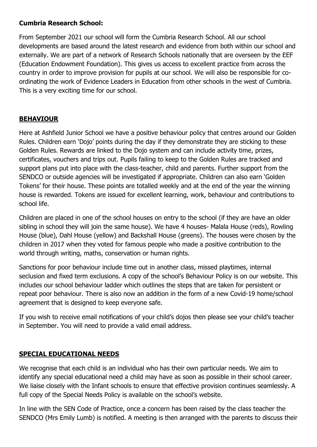## **Cumbria Research School:**

From September 2021 our school will form the Cumbria Research School. All our school developments are based around the latest research and evidence from both within our school and externally. We are part of a network of Research Schools nationally that are overseen by the EEF (Education Endowment Foundation). This gives us access to excellent practice from across the country in order to improve provision for pupils at our school. We will also be responsible for coordinating the work of Evidence Leaders in Education from other schools in the west of Cumbria. This is a very exciting time for our school.

# **BEHAVIOUR**

Here at Ashfield Junior School we have a positive behaviour policy that centres around our Golden Rules. Children earn 'Dojo' points during the day if they demonstrate they are sticking to these Golden Rules. Rewards are linked to the Dojo system and can include activity time, prizes, certificates, vouchers and trips out. Pupils failing to keep to the Golden Rules are tracked and support plans put into place with the class-teacher, child and parents. Further support from the SENDCO or outside agencies will be investigated if appropriate. Children can also earn 'Golden Tokens' for their house. These points are totalled weekly and at the end of the year the winning house is rewarded. Tokens are issued for excellent learning, work, behaviour and contributions to school life.

Children are placed in one of the school houses on entry to the school (if they are have an older sibling in school they will join the same house). We have 4 houses- Malala House (reds), Rowling House (blue), Dahl House (yellow) and Backshall House (greens). The houses were chosen by the children in 2017 when they voted for famous people who made a positive contribution to the world through writing, maths, conservation or human rights.

Sanctions for poor behaviour include time out in another class, missed playtimes, internal seclusion and fixed term exclusions. A copy of the school's Behaviour Policy is on our website. This includes our school behaviour ladder which outlines the steps that are taken for persistent or repeat poor behaviour. There is also now an addition in the form of a new Covid-19 home/school agreement that is designed to keep everyone safe.

If you wish to receive email notifications of your child's dojos then please see your child's teacher in September. You will need to provide a valid email address.

## **SPECIAL EDUCATIONAL NEEDS**

We recognise that each child is an individual who has their own particular needs. We aim to identify any special educational need a child may have as soon as possible in their school career. We liaise closely with the Infant schools to ensure that effective provision continues seamlessly. A full copy of the Special Needs Policy is available on the school's website.

In line with the SEN Code of Practice, once a concern has been raised by the class teacher the SENDCO (Mrs Emily Lumb) is notified. A meeting is then arranged with the parents to discuss their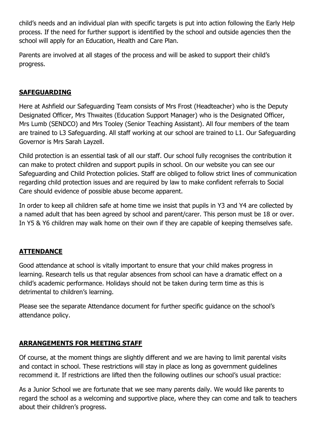child's needs and an individual plan with specific targets is put into action following the Early Help process. If the need for further support is identified by the school and outside agencies then the school will apply for an Education, Health and Care Plan.

Parents are involved at all stages of the process and will be asked to support their child's progress.

#### **SAFEGUARDING**

Here at Ashfield our Safeguarding Team consists of Mrs Frost (Headteacher) who is the Deputy Designated Officer, Mrs Thwaites (Education Support Manager) who is the Designated Officer, Mrs Lumb (SENDCO) and Mrs Tooley (Senior Teaching Assistant). All four members of the team are trained to L3 Safeguarding. All staff working at our school are trained to L1. Our Safeguarding Governor is Mrs Sarah Layzell.

Child protection is an essential task of all our staff. Our school fully recognises the contribution it can make to protect children and support pupils in school. On our website you can see our Safeguarding and Child Protection policies. Staff are obliged to follow strict lines of communication regarding child protection issues and are required by law to make confident referrals to Social Care should evidence of possible abuse become apparent.

In order to keep all children safe at home time we insist that pupils in Y3 and Y4 are collected by a named adult that has been agreed by school and parent/carer. This person must be 18 or over. In Y5 & Y6 children may walk home on their own if they are capable of keeping themselves safe.

## **ATTENDANCE**

Good attendance at school is vitally important to ensure that your child makes progress in learning. Research tells us that regular absences from school can have a dramatic effect on a child's academic performance. Holidays should not be taken during term time as this is detrimental to children's learning.

Please see the separate Attendance document for further specific guidance on the school's attendance policy.

## **ARRANGEMENTS FOR MEETING STAFF**

Of course, at the moment things are slightly different and we are having to limit parental visits and contact in school. These restrictions will stay in place as long as government guidelines recommend it. If restrictions are lifted then the following outlines our school's usual practice:

As a Junior School we are fortunate that we see many parents daily. We would like parents to regard the school as a welcoming and supportive place, where they can come and talk to teachers about their children's progress.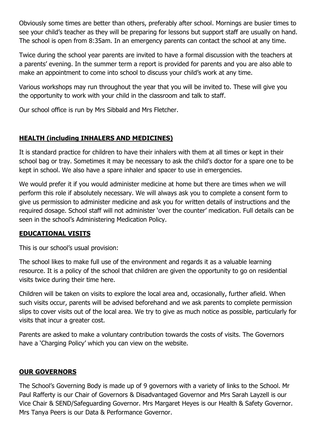Obviously some times are better than others, preferably after school. Mornings are busier times to see your child's teacher as they will be preparing for lessons but support staff are usually on hand. The school is open from 8:35am. In an emergency parents can contact the school at any time.

Twice during the school year parents are invited to have a formal discussion with the teachers at a parents' evening. In the summer term a report is provided for parents and you are also able to make an appointment to come into school to discuss your child's work at any time.

Various workshops may run throughout the year that you will be invited to. These will give you the opportunity to work with your child in the classroom and talk to staff.

Our school office is run by Mrs Sibbald and Mrs Fletcher.

# **HEALTH (including INHALERS AND MEDICINES)**

It is standard practice for children to have their inhalers with them at all times or kept in their school bag or tray. Sometimes it may be necessary to ask the child's doctor for a spare one to be kept in school. We also have a spare inhaler and spacer to use in emergencies.

We would prefer it if you would administer medicine at home but there are times when we will perform this role if absolutely necessary. We will always ask you to complete a consent form to give us permission to administer medicine and ask you for written details of instructions and the required dosage. School staff will not administer 'over the counter' medication. Full details can be seen in the school's Administering Medication Policy.

## **EDUCATIONAL VISITS**

This is our school's usual provision:

The school likes to make full use of the environment and regards it as a valuable learning resource. It is a policy of the school that children are given the opportunity to go on residential visits twice during their time here.

Children will be taken on visits to explore the local area and, occasionally, further afield. When such visits occur, parents will be advised beforehand and we ask parents to complete permission slips to cover visits out of the local area. We try to give as much notice as possible, particularly for visits that incur a greater cost.

Parents are asked to make a voluntary contribution towards the costs of visits. The Governors have a 'Charging Policy' which you can view on the website.

## **OUR GOVERNORS**

The School's Governing Body is made up of 9 governors with a variety of links to the School. Mr Paul Rafferty is our Chair of Governors & Disadvantaged Governor and Mrs Sarah Layzell is our Vice Chair & SEND/Safeguarding Governor. Mrs Margaret Heyes is our Health & Safety Governor. Mrs Tanya Peers is our Data & Performance Governor.